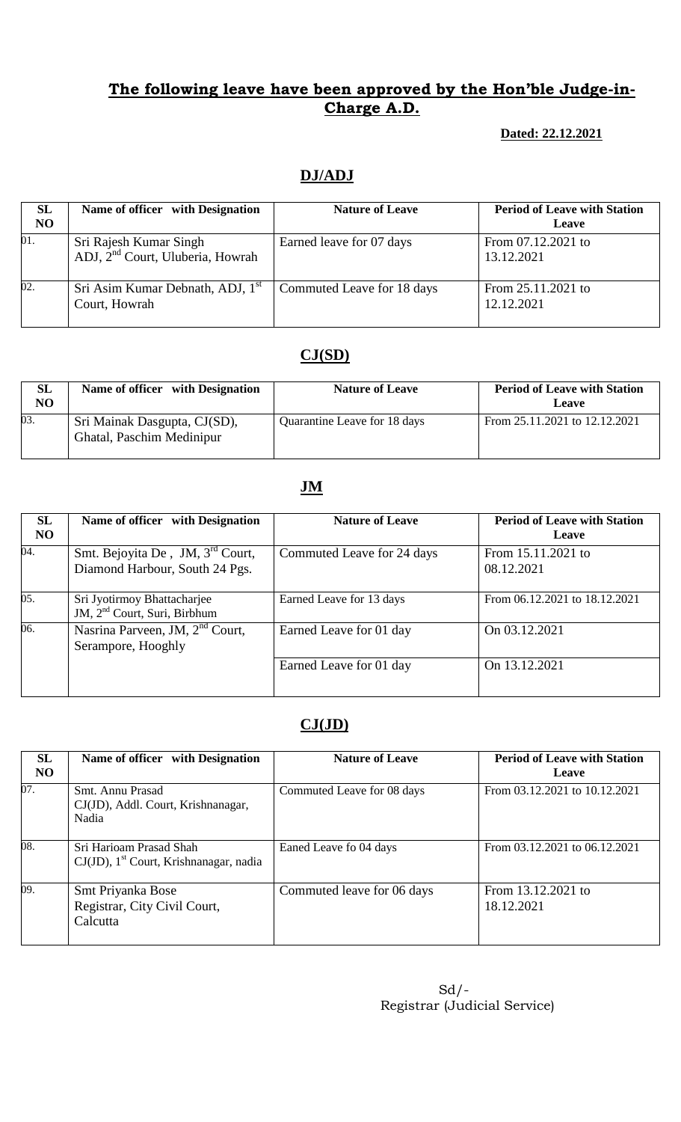### **Dated: 22.12.2021**

# **DJ/ADJ**

| <b>SL</b><br>NO   | Name of officer with Designation                                       | <b>Nature of Leave</b>     | <b>Period of Leave with Station</b><br>Leave |
|-------------------|------------------------------------------------------------------------|----------------------------|----------------------------------------------|
| 01.               | Sri Rajesh Kumar Singh<br>ADJ, 2 <sup>nd</sup> Court, Uluberia, Howrah | Earned leave for 07 days   | From 07.12.2021 to<br>13.12.2021             |
| $\overline{02}$ . | Sri Asim Kumar Debnath, ADJ, 1 <sup>st</sup><br>Court, Howrah          | Commuted Leave for 18 days | From 25.11.2021 to<br>12.12.2021             |

# **CJ(SD)**

| SL<br>NO | Name of officer with Designation                          | <b>Nature of Leave</b>       | <b>Period of Leave with Station</b><br>Leave |
|----------|-----------------------------------------------------------|------------------------------|----------------------------------------------|
| 03.      | Sri Mainak Dasgupta, CJ(SD),<br>Ghatal, Paschim Medinipur | Quarantine Leave for 18 days | From 25.11.2021 to 12.12.2021                |

## **JM**

| <b>SL</b><br>N <sub>O</sub> | Name of officer with Designation                                               | <b>Nature of Leave</b>     | <b>Period of Leave with Station</b><br>Leave |
|-----------------------------|--------------------------------------------------------------------------------|----------------------------|----------------------------------------------|
| 04.                         | Smt. Bejoyita De, JM, 3 <sup>rd</sup> Court,<br>Diamond Harbour, South 24 Pgs. | Commuted Leave for 24 days | From 15.11.2021 to<br>08.12.2021             |
| 05.                         | Sri Jyotirmoy Bhattacharjee<br>JM, 2 <sup>nd</sup> Court, Suri, Birbhum        | Earned Leave for 13 days   | From 06.12.2021 to 18.12.2021                |
| 06.                         | Nasrina Parveen, JM, 2 <sup>nd</sup> Court,<br>Serampore, Hooghly              | Earned Leave for 01 day    | On 03.12.2021                                |
|                             |                                                                                | Earned Leave for 01 day    | On 13.12.2021                                |

## **CJ(JD)**

| <b>SL</b><br>N <sub>O</sub> | Name of officer with Designation                                                 | <b>Nature of Leave</b>     | <b>Period of Leave with Station</b><br>Leave |  |
|-----------------------------|----------------------------------------------------------------------------------|----------------------------|----------------------------------------------|--|
| 07.                         | Smt. Annu Prasad<br>CJ(JD), Addl. Court, Krishnanagar,<br>Nadia                  | Commuted Leave for 08 days | From 03.12.2021 to 10.12.2021                |  |
| 08.                         | Sri Harioam Prasad Shah<br>$CJ(JD)$ , 1 <sup>st</sup> Court, Krishnanagar, nadia | Eaned Leave fo 04 days     | From 03.12.2021 to 06.12.2021                |  |
| 09.                         | Smt Priyanka Bose<br>Registrar, City Civil Court,<br>Calcutta                    | Commuted leave for 06 days | From 13.12.2021 to<br>18.12.2021             |  |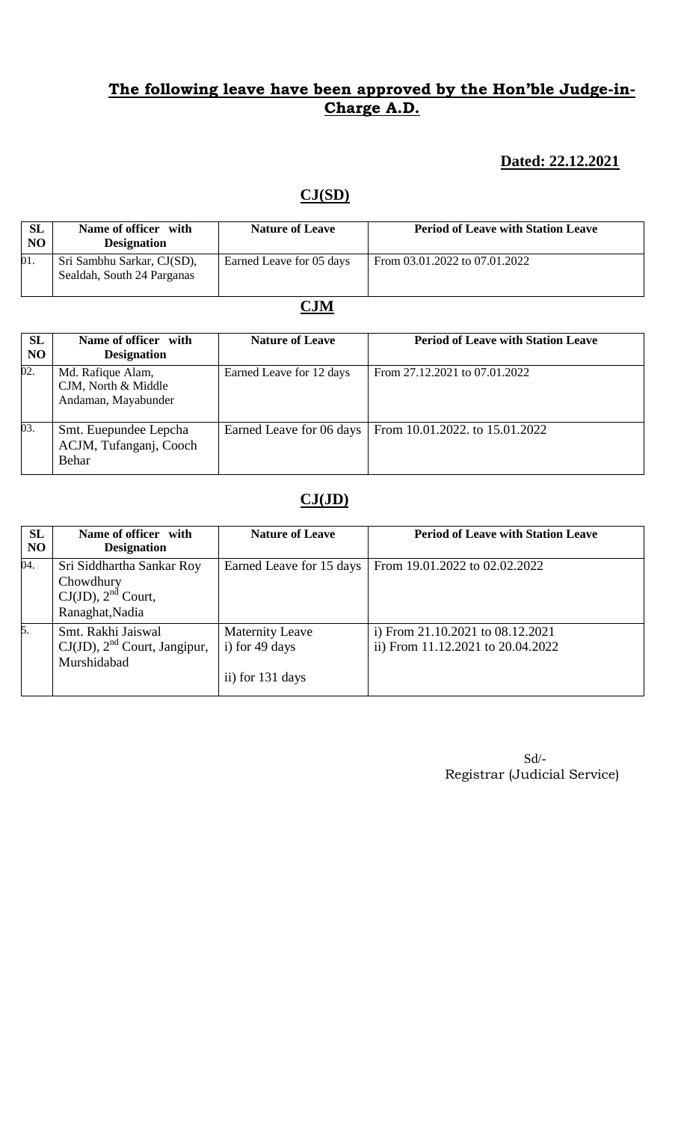## **Dated: 22.12.2021**

## **CJ(SD)**

| <b>SL</b><br>N <sub>O</sub> | Name of officer with<br><b>Designation</b>               | <b>Nature of Leave</b>   | <b>Period of Leave with Station Leave</b> |
|-----------------------------|----------------------------------------------------------|--------------------------|-------------------------------------------|
| 01.                         | Sri Sambhu Sarkar, CJ(SD),<br>Sealdah, South 24 Parganas | Earned Leave for 05 days | From 03.01.2022 to 07.01.2022             |

# **CJM**

| SL<br>N <sub>O</sub> | Name of officer with<br><b>Designation</b>                      | <b>Nature of Leave</b>   | <b>Period of Leave with Station Leave</b> |
|----------------------|-----------------------------------------------------------------|--------------------------|-------------------------------------------|
| 02.                  | Md. Rafique Alam,<br>CJM, North & Middle<br>Andaman, Mayabunder | Earned Leave for 12 days | From 27.12.2021 to 07.01.2022             |
| 03.                  | Smt. Euepundee Lepcha<br>ACJM, Tufanganj, Cooch<br>Behar        | Earned Leave for 06 days | From 10.01.2022. to 15.01.2022            |

# **CJ(JD)**

| <b>SL</b><br>N <sub>O</sub> | Name of officer with<br><b>Designation</b>                                           | <b>Nature of Leave</b>                                       | <b>Period of Leave with Station Leave</b>                                 |
|-----------------------------|--------------------------------------------------------------------------------------|--------------------------------------------------------------|---------------------------------------------------------------------------|
| 04.                         | Sri Siddhartha Sankar Roy<br>Chowdhury<br>$CJ(JD)$ , $2nd$ Court,<br>Ranaghat, Nadia | Earned Leave for 15 days                                     | From 19.01.2022 to 02.02.2022                                             |
| 5.                          | Smt. Rakhi Jaiswal<br>$CJ(JD)$ , $2nd$ Court, Jangipur,<br>Murshidabad               | <b>Maternity Leave</b><br>i) for 49 days<br>ii) for 131 days | i) From $21.10.2021$ to $08.12.2021$<br>ii) From 11.12.2021 to 20.04.2022 |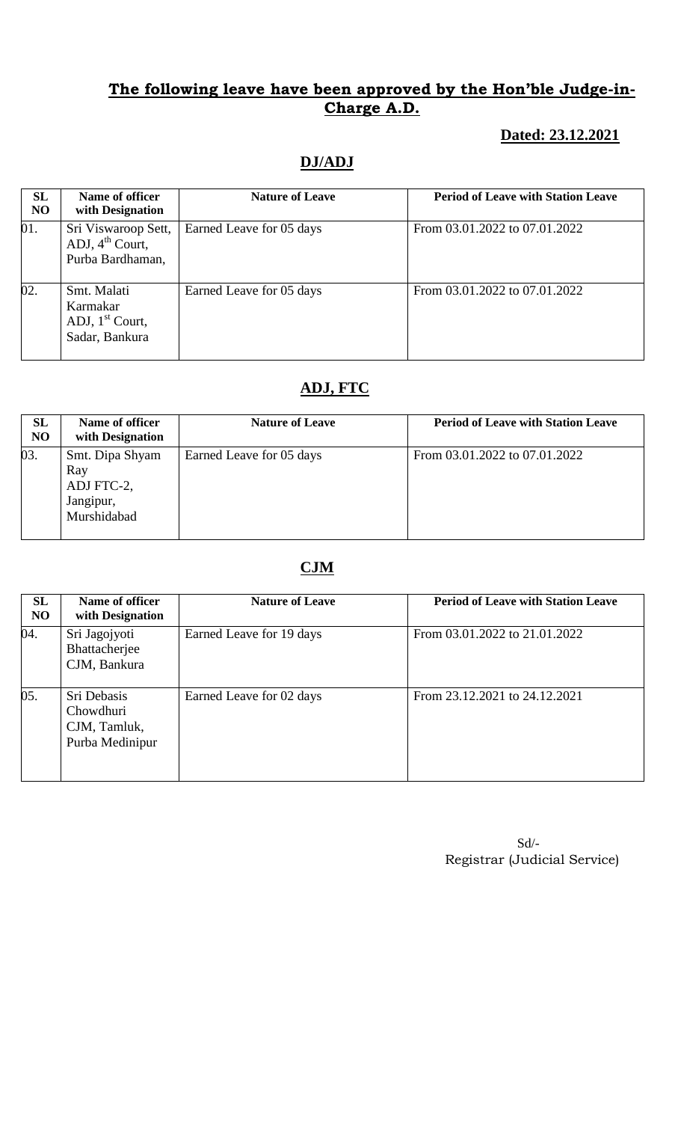## **Dated: 23.12.2021**

# **DJ/ADJ**

| SL<br><b>NO</b> | Name of officer<br>with Designation                                    | <b>Nature of Leave</b>   | <b>Period of Leave with Station Leave</b> |
|-----------------|------------------------------------------------------------------------|--------------------------|-------------------------------------------|
| 01.             | Sri Viswaroop Sett,<br>ADJ, $4^{\text{th}}$ Court,<br>Purba Bardhaman, | Earned Leave for 05 days | From 03.01.2022 to 07.01.2022             |
| 02.             | Smt. Malati<br>Karmakar<br>ADJ, $1st$ Court,<br>Sadar, Bankura         | Earned Leave for 05 days | From 03.01.2022 to 07.01.2022             |

# **ADJ, FTC**

| SL<br><b>NO</b> | Name of officer<br>with Designation                              | <b>Nature of Leave</b>   | <b>Period of Leave with Station Leave</b> |
|-----------------|------------------------------------------------------------------|--------------------------|-------------------------------------------|
| 03.             | Smt. Dipa Shyam<br>Ray<br>ADJ FTC-2,<br>Jangipur,<br>Murshidabad | Earned Leave for 05 days | From 03.01.2022 to 07.01.2022             |

# **CJM**

| SL<br>NO | Name of officer<br>with Designation                         | <b>Nature of Leave</b>   | <b>Period of Leave with Station Leave</b> |
|----------|-------------------------------------------------------------|--------------------------|-------------------------------------------|
| 04.      | Sri Jagojyoti<br>Bhattacherjee<br>CJM, Bankura              | Earned Leave for 19 days | From 03.01.2022 to 21.01.2022             |
| 05.      | Sri Debasis<br>Chowdhuri<br>CJM, Tamluk,<br>Purba Medinipur | Earned Leave for 02 days | From 23.12.2021 to 24.12.2021             |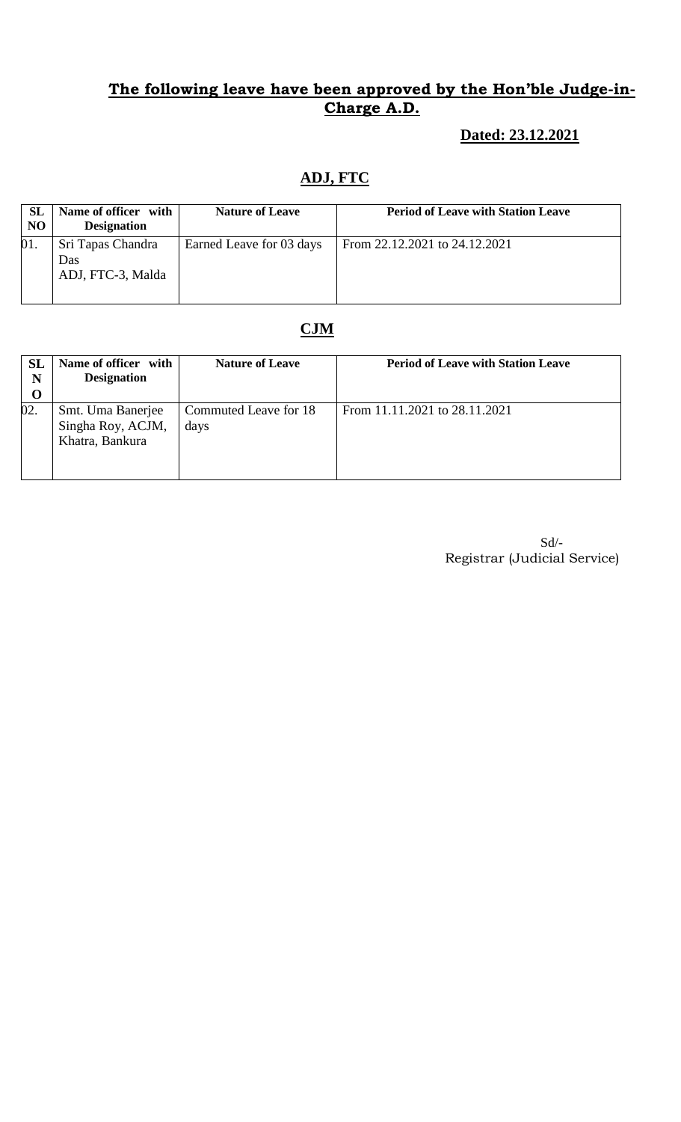## **Dated: 23.12.2021**

# **ADJ, FTC**

| <b>SL</b><br>N <sub>O</sub> | Name of officer with<br><b>Designation</b>    | <b>Nature of Leave</b>   | <b>Period of Leave with Station Leave</b> |
|-----------------------------|-----------------------------------------------|--------------------------|-------------------------------------------|
| 01.                         | Sri Tapas Chandra<br>Das<br>ADJ, FTC-3, Malda | Earned Leave for 03 days | From 22.12.2021 to 24.12.2021             |

# **CJM**

| <b>SL</b><br>N<br>$\bf{O}$ | Name of officer with<br><b>Designation</b>                | <b>Nature of Leave</b>        | <b>Period of Leave with Station Leave</b> |
|----------------------------|-----------------------------------------------------------|-------------------------------|-------------------------------------------|
| 02.                        | Smt. Uma Banerjee<br>Singha Roy, ACJM,<br>Khatra, Bankura | Commuted Leave for 18<br>days | From 11.11.2021 to 28.11.2021             |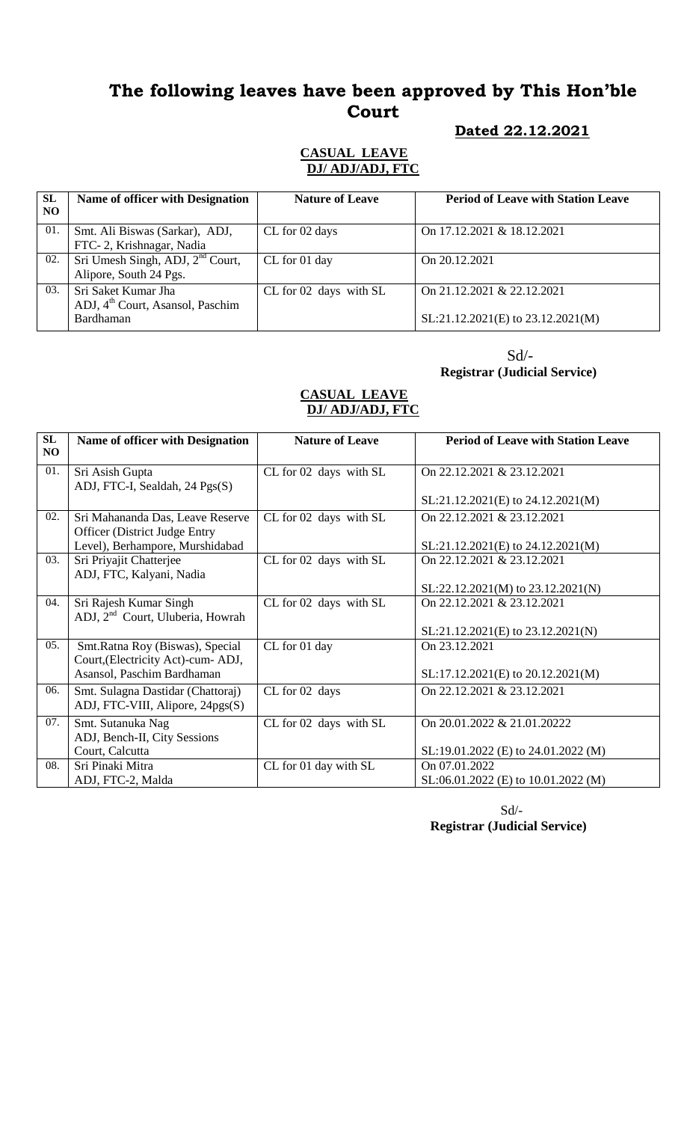# **The following leaves have been approved by This Hon'ble Court**

#### **Dated 22.12.2021**

#### **CASUAL LEAVE DJ/ ADJ/ADJ, FTC**

| <b>SL</b><br>N <sub>O</sub> | Name of officer with Designation                                                 | <b>Nature of Leave</b> | <b>Period of Leave with Station Leave</b>                       |
|-----------------------------|----------------------------------------------------------------------------------|------------------------|-----------------------------------------------------------------|
| 01.                         | Smt. Ali Biswas (Sarkar), ADJ,<br>FTC-2, Krishnagar, Nadia                       | CL for 02 days         | On 17.12.2021 & 18.12.2021                                      |
| 02.                         | Sri Umesh Singh, ADJ, $2nd$ Court,<br>Alipore, South 24 Pgs.                     | CL for 01 day          | On 20.12.2021                                                   |
| 03.                         | Sri Saket Kumar Jha<br>ADJ, 4 <sup>th</sup> Court, Asansol, Paschim<br>Bardhaman | CL for 02 days with SL | On 21.12.2021 & 22.12.2021<br>SL:21.12.2021(E) to 23.12.2021(M) |

# Sd/-

#### **Registrar (Judicial Service)**

#### **CASUAL LEAVE DJ/ ADJ/ADJ, FTC**

| SL<br>NO. | <b>Name of officer with Designation</b>                                  | <b>Nature of Leave</b> | <b>Period of Leave with Station Leave</b> |
|-----------|--------------------------------------------------------------------------|------------------------|-------------------------------------------|
| 01.       | Sri Asish Gupta<br>ADJ, FTC-I, Sealdah, 24 Pgs(S)                        | CL for 02 days with SL | On 22.12.2021 & 23.12.2021                |
|           |                                                                          |                        | $SL:21.12.2021(E)$ to $24.12.2021(M)$     |
| 02.       | Sri Mahananda Das, Leave Reserve<br><b>Officer</b> (District Judge Entry | CL for 02 days with SL | On 22.12.2021 & 23.12.2021                |
|           | Level), Berhampore, Murshidabad                                          |                        | SL:21.12.2021(E) to 24.12.2021(M)         |
| 03.       | Sri Priyajit Chatterjee<br>ADJ, FTC, Kalyani, Nadia                      | CL for 02 days with SL | On 22.12.2021 & 23.12.2021                |
|           |                                                                          |                        | $SL:22.12.2021(M)$ to $23.12.2021(N)$     |
| 04.       | Sri Rajesh Kumar Singh<br>ADJ, 2 <sup>nd</sup> Court, Uluberia, Howrah   | CL for 02 days with SL | On 22, 12, 2021 & 23, 12, 2021            |
|           |                                                                          |                        | $SL:21.12.2021(E)$ to $23.12.2021(N)$     |
| 05.       | Smt.Ratna Roy (Biswas), Special<br>Court, (Electricity Act)-cum-ADJ,     | CL for 01 day          | On 23.12.2021                             |
|           | Asansol, Paschim Bardhaman                                               |                        | SL:17.12.2021(E) to 20.12.2021(M)         |
| 06.       | Smt. Sulagna Dastidar (Chattoraj)<br>ADJ, FTC-VIII, Alipore, 24pgs(S)    | CL for 02 days         | On 22.12.2021 & 23.12.2021                |
| 07.       | Smt. Sutanuka Nag                                                        | CL for 02 days with SL | On 20.01.2022 & 21.01.20222               |
|           | ADJ, Bench-II, City Sessions                                             |                        |                                           |
|           | Court, Calcutta                                                          |                        | $SL:19.01.2022$ (E) to 24.01.2022 (M)     |
| 08.       | Sri Pinaki Mitra                                                         | CL for 01 day with SL  | On 07.01.2022                             |
|           | ADJ, FTC-2, Malda                                                        |                        | $SL:06.01.2022$ (E) to 10.01.2022 (M)     |